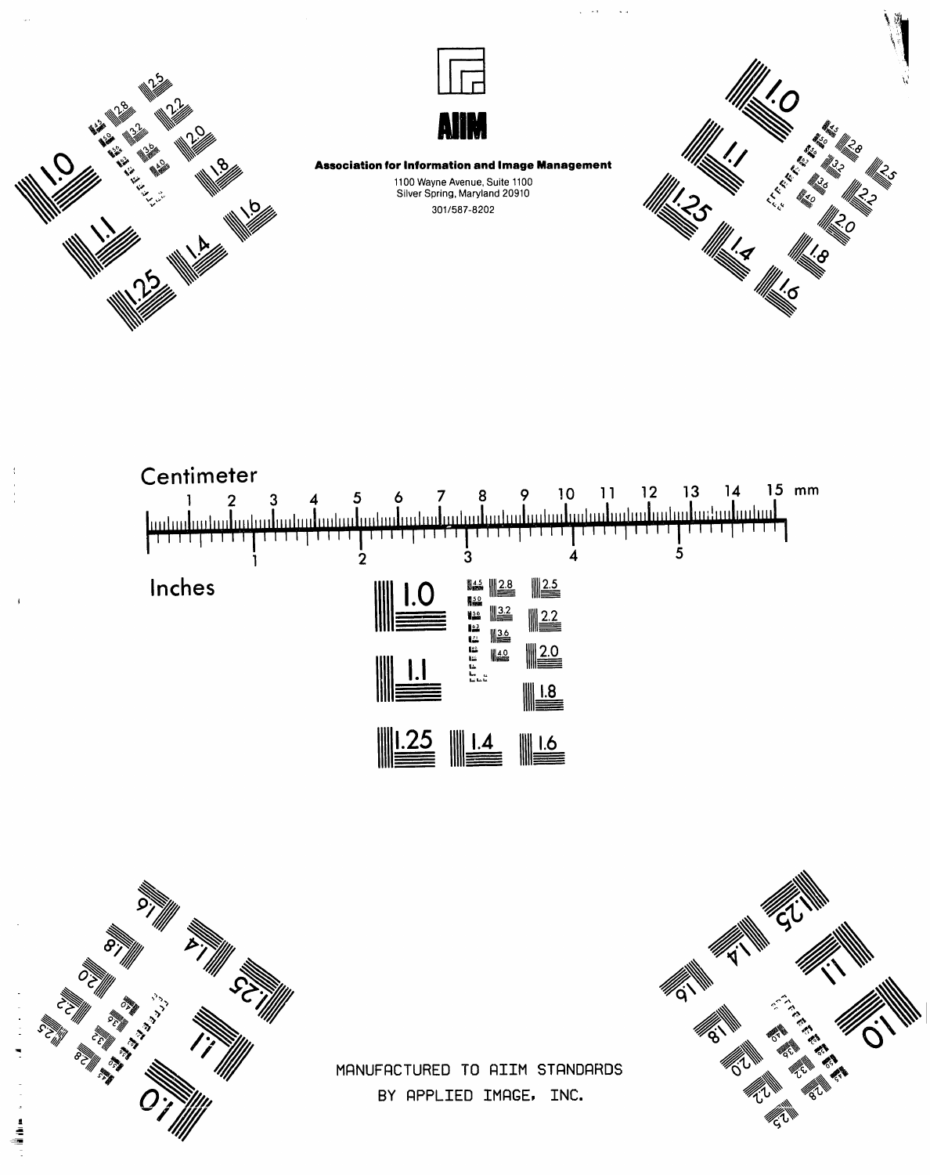

 $\frac{4}{3}$ 





**Association for Information and Image Management** 

1100 Wayne Avenue, Suite 1100<br>Silver Spring, Maryland 20910 301/587-8202









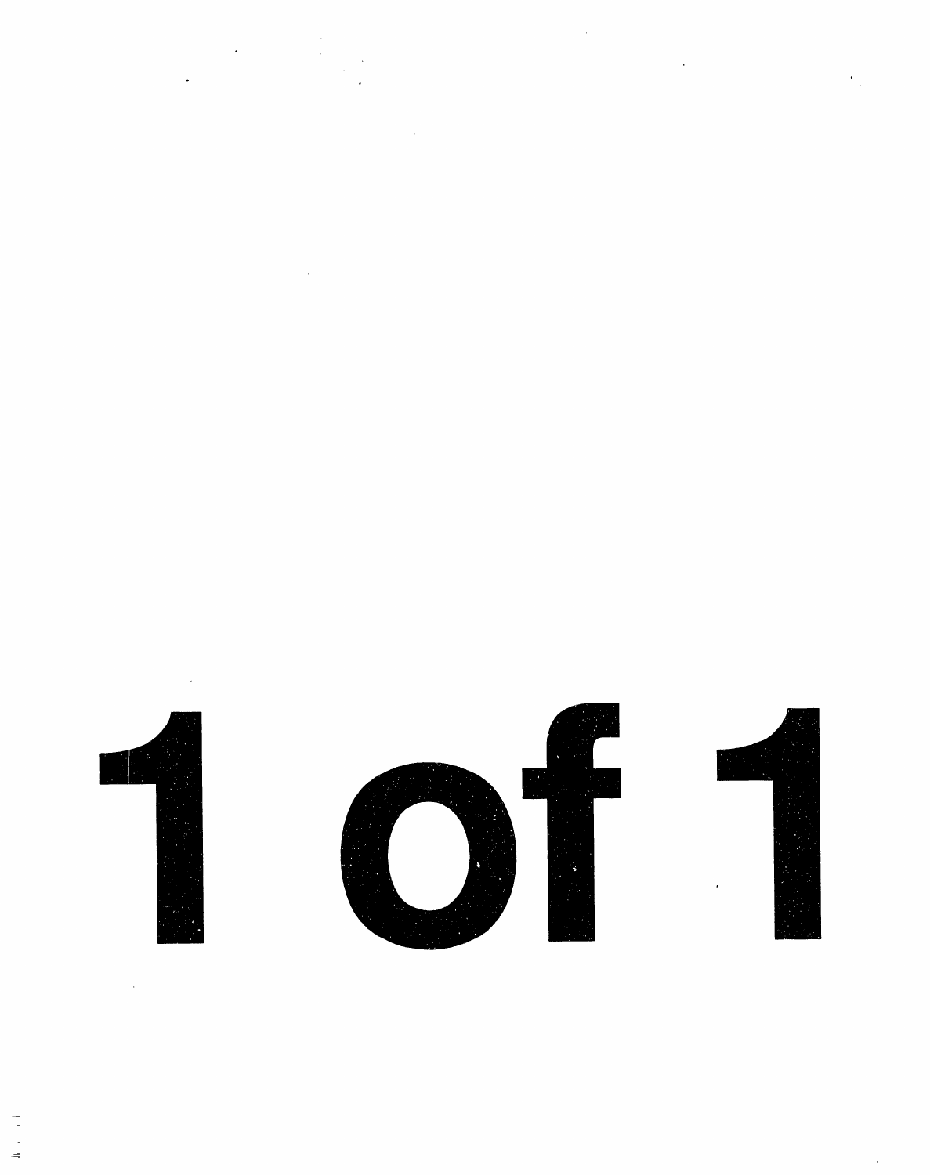$\mathcal{L}(\mathcal{L}^{\mathcal{L}})$  and  $\mathcal{L}(\mathcal{L}^{\mathcal{L}})$  and  $\mathcal{L}(\mathcal{L}^{\mathcal{L}})$  and  $\mathcal{L}(\mathcal{L}^{\mathcal{L}})$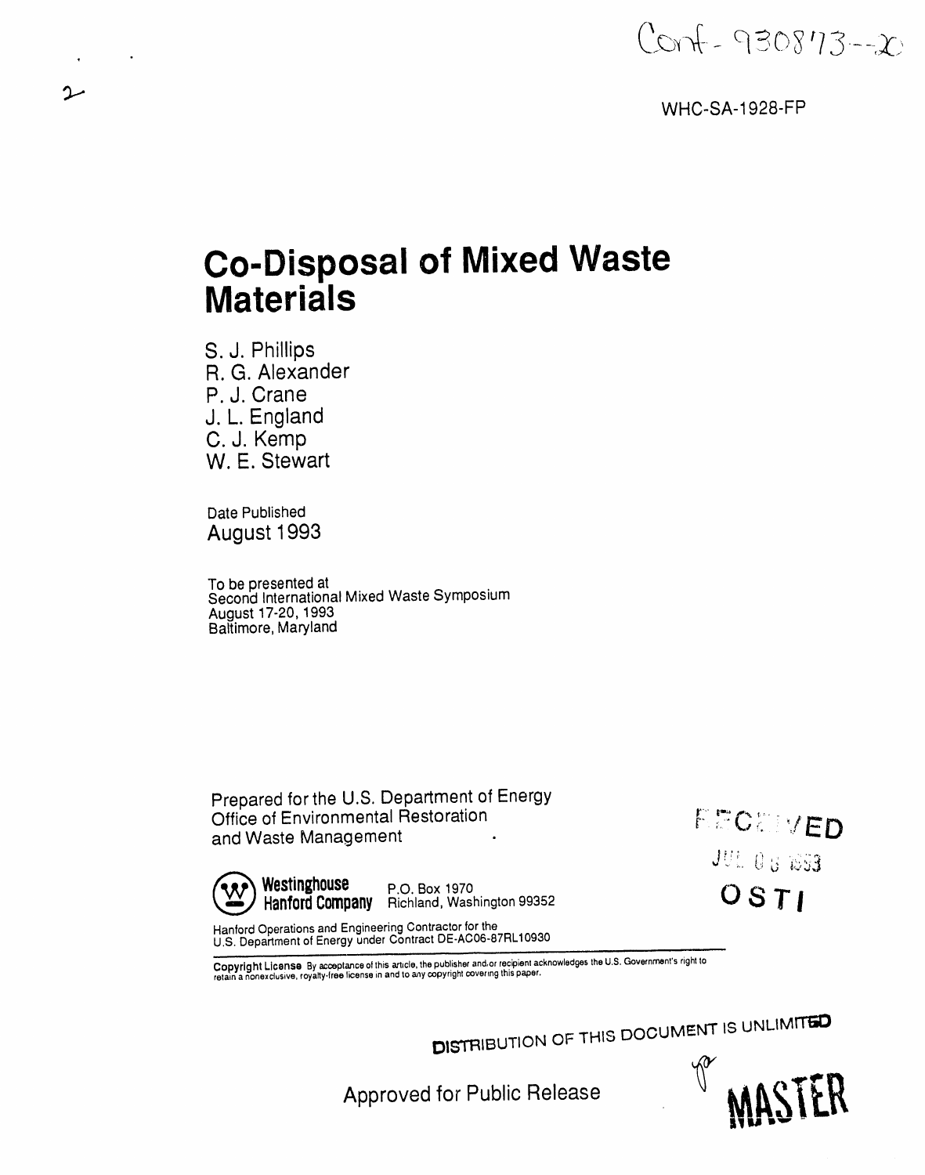$Corf - 930873 - 20$ 

**WHC-SA-1928-FP** 

## **Co-Disposal of Mixed Waste Materials**

S. J. Phillips R. G. Alexander P. J. Crane J. L. England C. J. Kemp W. E. Stewart

مىە

Date Published August 1993

To be presented at Second International Mixed Waste Symposium August 17-20, 1993 Baltimore, Maryland

Prepared for the U.S. Department of Energy Office of Environmental Restoration and Waste Management

Westinghouse

P.O. Box 1970 Hanford Company Richland, Washington 99352

Hanford Operations and Engineering Contractor for the<br>U.S. Department of Energy under Contract DE-AC06-87RL10930

Copyright License By acceptance of this article, the publisher and or recipient acknowledges the U.S. Government's right to retain a nonexclusive, royalty-free license in and to any copyright covering this paper.

**DISTRIBUTION OF THIS DOCUMENT IS UNLIMITED** 

Approved for Public Release

EECNIVED

**JUL 0 3 1333** 

OSTI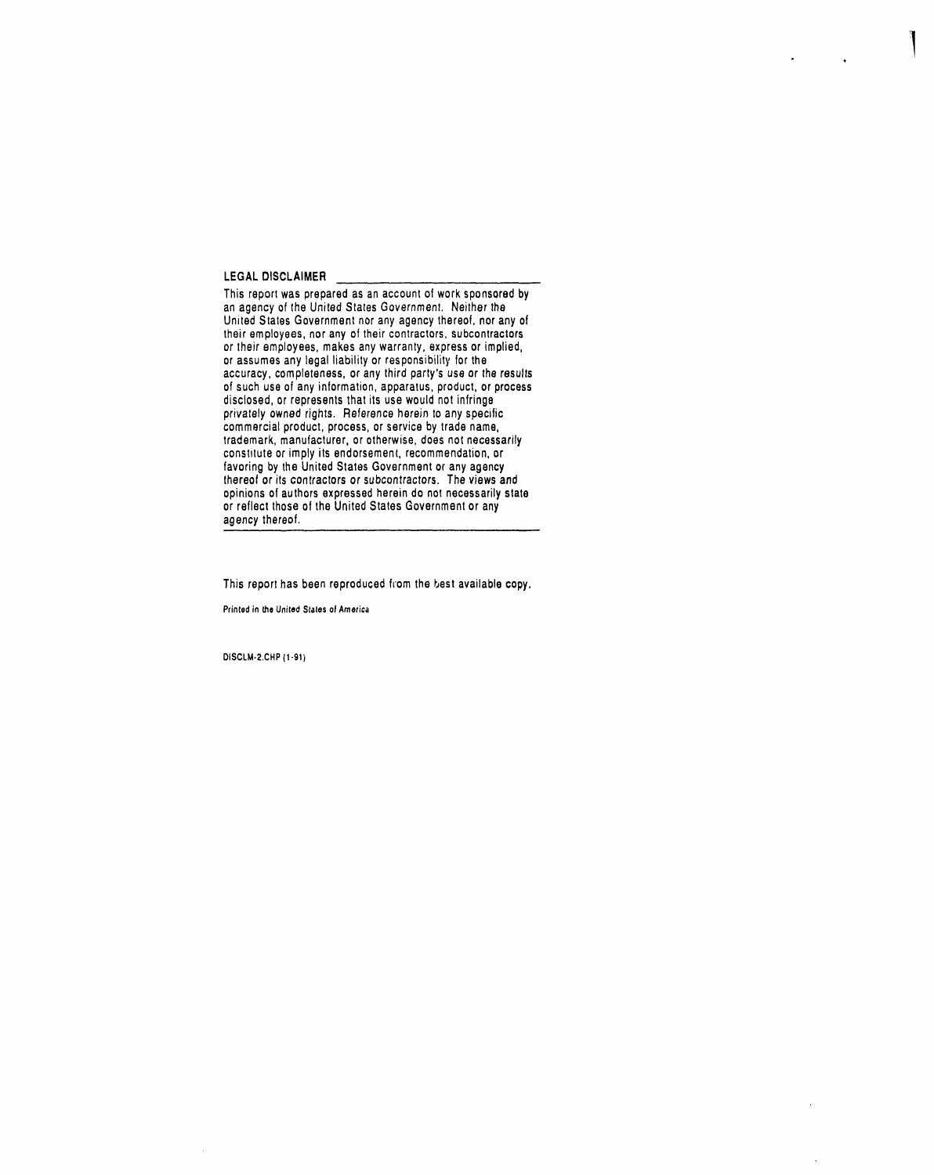#### LEGAL DISCLAIMER

This report was prepared as an account of work sponsored by an agency of the United States Government. Neither the United States Government nor any agency thereof, nor any of their employees, nor any of their contractors, subcontractors or their employees, makes any warranty, express or implied, or assumes any legal liability or responsibility for the accuracy, completeness, or any third party's use or the results<br>of such use of any information, apparatus, product, or process disclosed, or represents that its use would not infringe privately owned rights. Reference herein to any specific commercial product, process, or service by trade name, trademark, manufacturer, or otherwise, does not necessarily constitute or imply its endorsement, recommendation, or favoring by the United States Government or any agency thereof or its contractors or subcontractors. The views and<br>opinions of authors expressed herein do not necessarily state or reflect those of the United States Government or any agency thereof.

This report has been reproduced from the best available copy.

Printed in the United States of America

DISCLM-2.CHP (1-91)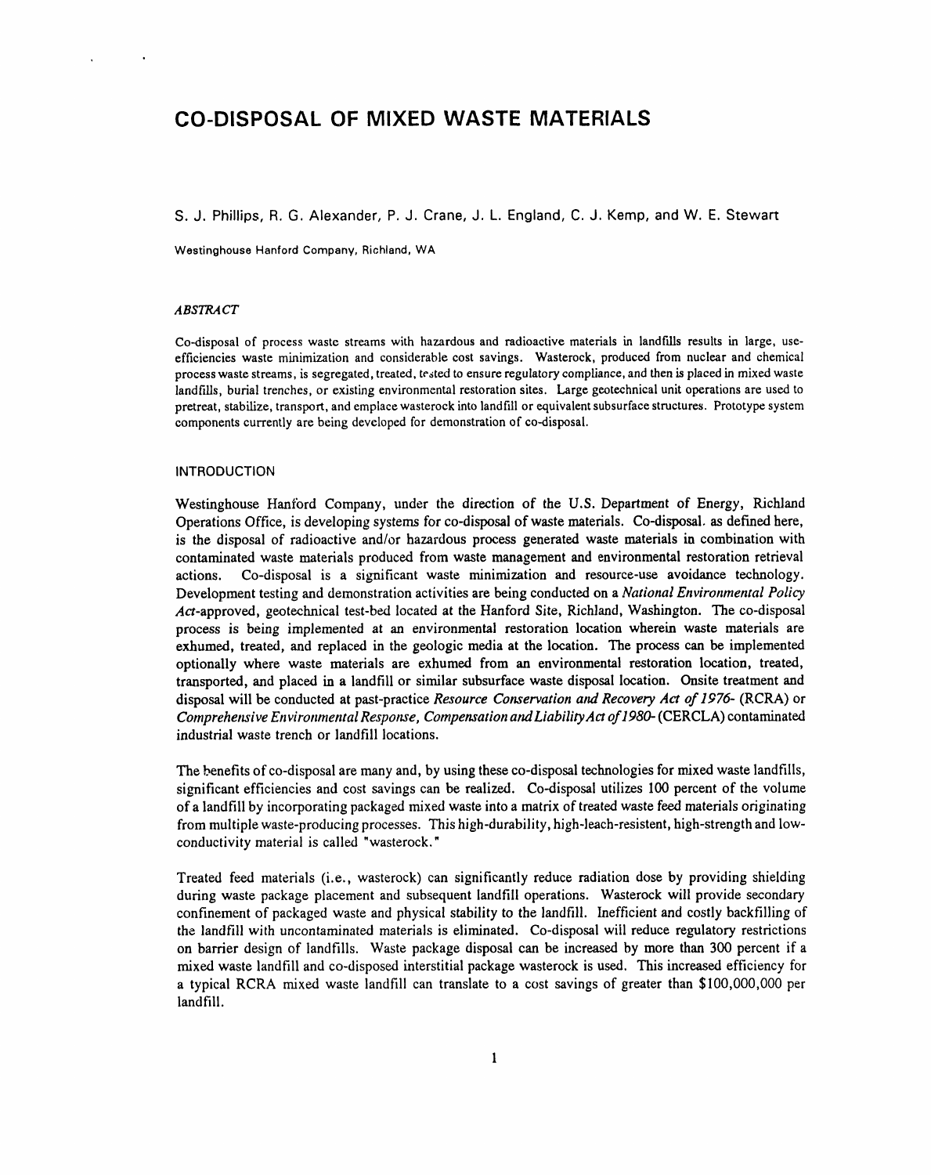### **C**O-**DI**S**P**OSAL O**F M**IX**ED** W**ASTE M**AT**E**RI**ALS**

S**.** J. Phill**i**ps, R. G**.** Al**e**xand**e**r, **P.** J. Cran**e**, **J.** L**.** Engl**a**nd, C. J**.** K**e**mp, **a**nd W**. E.** S**te**wart

Westinghouse Hanford Company, Richland, WA

#### *ABSTRACT*

Co-disposal of process waste streams with hazard**o**us **a**nd radioactive materials in landfdls results in large*,* useefficiencies waste minimization and considerable cost savings. Wasteroek**,** produced from nuclear and chemical process waste streams, is segregated, treated, t*es*ted to ensure reg*u*latory *c*ompfiance**,**and then is placed in mixed waste landfills, burial tren*c*hes, or existing environmental restoration sites. Large geotechnical unit operations are used to pretreat, stabilize, transport**,** and emplace wasterock into landfill or equivalentsubsurface structures. Prototype system components currently are being developed for demonstration of co-disposal.

#### INTRO**D**UCTION

Westinghouse Hanfbrd Company, under the direction of the U.S. Department of Energy*,* Richland Operations Office, is developing systems for co-disposal of waste materials. *C*o-disposal. as defined here, is the disposal of radioactive and*/*or hazardous process generated waste materials in combination with contaminated waste materials produced from waste management and environmental restoration retrieval actions. Co-disposal is a significant waste minimization and resource-use avoidance technology. Development testing and demonstration activities are being conducted on a *National Environmental Policy Act*-approved, geotechnical test-bed located at the Hanford Site, Richland, Washington. The co-disposal process is being implemented at an environmental restoration location wherein waste materials are exhumed, treated*,* and replaced in the geologic media at the location. The process can be implemented optionally where waste materials are exhumed from an environmental restoration location, treated, transported, and placed in a landfill or similar subsurface waste disposal location. Onsite treatment and disposal will be conducted at past-practice *Resource Conservation and Recovery Act of 1976*- (RCRA) or *Co*m*prehensive En viron*m*ental Respo*ns*e, Compensation and Liability Act of 1980*- (CERCLA) contaminated industrial waste trench or landfill locations.

The benefits of c**o**-disposal are many and, by using these **c**o**-**disposal techn**o**logies for mixed waste landfills, significant efficiencies and cost savings can be realized. Co-disposal utilizes 100 percent of the volume of a landfill by incorporating packaged mixed waste into a matrix of treated waste feed materials originating from multiple waste-producing processes. This high-durability, high-leach-resistent, high-strength and lowconductivity material is called "wasterock."

Treated feed materials (i.e., wasterock) can significantly reduce radiation dose by providing shielding during waste package placement and subsequent landfill operations. Wasterock will provide secondary confinement of packaged waste and physical stability to the landfill. Inefficient and costly backfilling of the landfill with unc*o*ntaminated materials is eliminated. Co-disposal will reduce regulatory restrictions on barrier design of landfills. Waste package disposal can be increased by more than 300 percent if a mixed waste landfill and co-disposed interstitial package wasterock is used. This increased efficiency for a typical RCRA mixed waste landfill can translate to a cost savings of greater than \$I00,000,000 per landfill.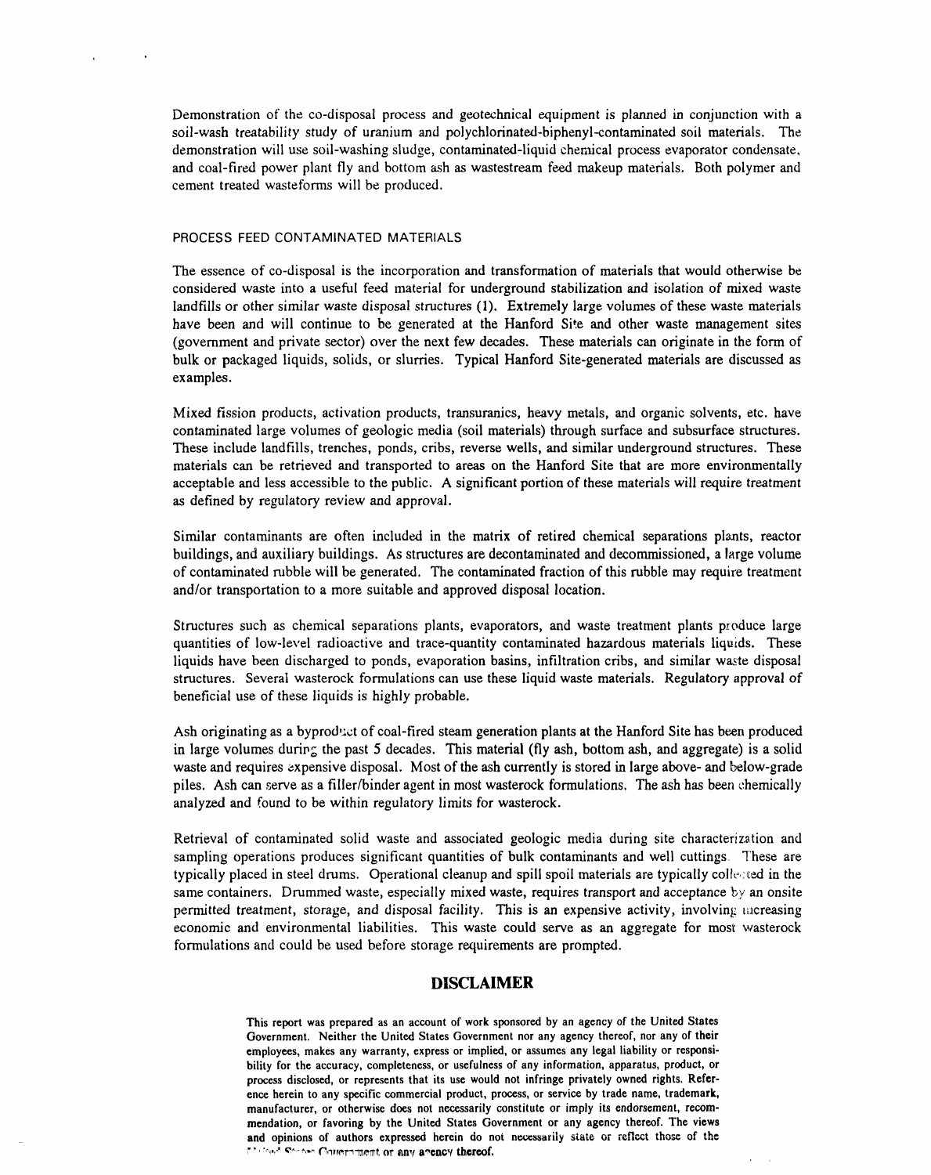Demonstration of the co-disposal process and geotechnical equipment is planned in conjunction with a soil-wa**s**h **tr**eatabilit**y** s**t**ud**y** of uranium and pol**y**chlorina**t**ed-biphen**y**l-con**t**aminated **s**oil ma**te**rial**s**. The demon**str**a**t**ion will use **s**oil-wa**s**hing **s**ludge, con**t**amina**t**ed-liquid chemical p**r**ocess evapora**t**or conden**s**a**t**e. and coal-fired power plan**t** fl**y** and bottom ash as was**t**es**tr**eam feed makeup material**s**. Bo**t**h pol**y**me**r** and cement **tr**ea**t**ed was**t**eform**s** will be p**r**oduced.

#### PROCESS FEED CONTAMINATED MATERIALS

The essence of co-disposal is the incorporation and **t**ransformation of mate*ri*als that would otherwise be considered waste into a useful feed material for underground stabilization and isolation of mixed waste landfills or other similar waste disposal s**t**ructures (1). Extremely large volumes of these waste materials have been and will continue to be generated at the Hanford Site and other waste management sites (government and private sector) over the next few decades. These materials can originate in the form of bulk or packaged liquids, solids, or slurries. Typical Hanford Site-generated materials are discussed as examples.

Mixed fission products, activation products, transuranics, heavy metals, and organic solvents, e**t**c. have contaminated large volumes of geologic media (soil materials) through surface and subsurface structures. These include landfills, trenches, ponds, cribs, reverse wells, and similar underground structures. These materials can be retrieved and transported to areas on the Hanford Site that are more environmentally acceptable and less accessible to the public. A significant portion of *t*hese materials will require treatment as defined by regulatory review and approval.

Similar contaminants are often included in **t**he matrix of re**t**ired chemical separations plants, reactor buildings, and auxiliary buildings. As structures are decontaminated and decommissioned, a large volume of contaminated rubble will be generated. The contaminated fraction of this rubble may requi**r**e treatment and*/*or transportation to a more suitable and approved disposal location.

Structures such as chemical separations plan**t**s, ev**a**porators, and w**a**ste **t**reatment plants produce large quantities of low-level radioactive and trace-quantity contaminated hazardous materials liquids. These liquids have been discharged to ponds, evaporation basins, infiltration cribs, and similar wa*s*te disposal structures. Several wasterock formulations can use these liquid waste materials. Regulatory approval of beneficial use of these liquids is highly probable.

Ash originating as a byproduct of coal-fired steam generation plants at the Hanford Site has been produced in large volumes during the past 5 decades. This material (fly ash, bottom ash, and aggregate) is a solid waste and requires expensive disposal. Most of the ash currently is stored in large above- and below-grade piles. Ash can serve as a filler*/*binder agent in most wasterock formulations, The ash has been chemically analyzed and found to be within regulatory limits for wasterock.

Retrieval of contaminated solid waste and associated geologic media during site characterization and sampling operations produces significant quantities of bulk contaminants and well cuttings. These are typically placed in steel drums. Operational cleanup and spill spoil materials are typically col*/*\_,*:*\_ed in the same containers. Drummed waste, especially mixed waste, requires transport and acceptance b*y* an onsite permitted treatment, storage, and disposal facility. This is an expensive activity, involving mereasing economic and environmental liabilities. This waste could serve as an aggregate for most wasterock formulations and could be used before storage requirements are prompted.

#### **DIS***C***LAIMER**

**T**hi**s r**eport w**a**s**p**re**par**edas **a**n **a**ccoun**t**of w**or**kspo**nso**redby **a**n **a**ge**ncyo**f **t**h**e U**nit**e**d **Stat**e**s** Government. Neither the United States Government nor any agency thereof, nor any of their **e**mployees,makes any warranty, expressor implied,or assumesany legal liabilityor respon**s**ibility for the accuracy, completeness, or usefulness of any information, apparatus, product, or processdisclosed,or r**ep**resentsthat its us**e** wouldnot infringeprivatelyownedrights. R**e**f**e**rence herein to any specific commercial product, process, or service by trade name, trademark, manufacturer, or otherwise does not necessarily constitute or imply its endorsement, recomm**e**ndation,or favorin**g** by the United Stat**e**s Gov**e**rnmentor any ag**e**ncyth**e**r**e**of.Th**e** view**s** and opinions of authors expressed herein do not necessarily state or reflect those of the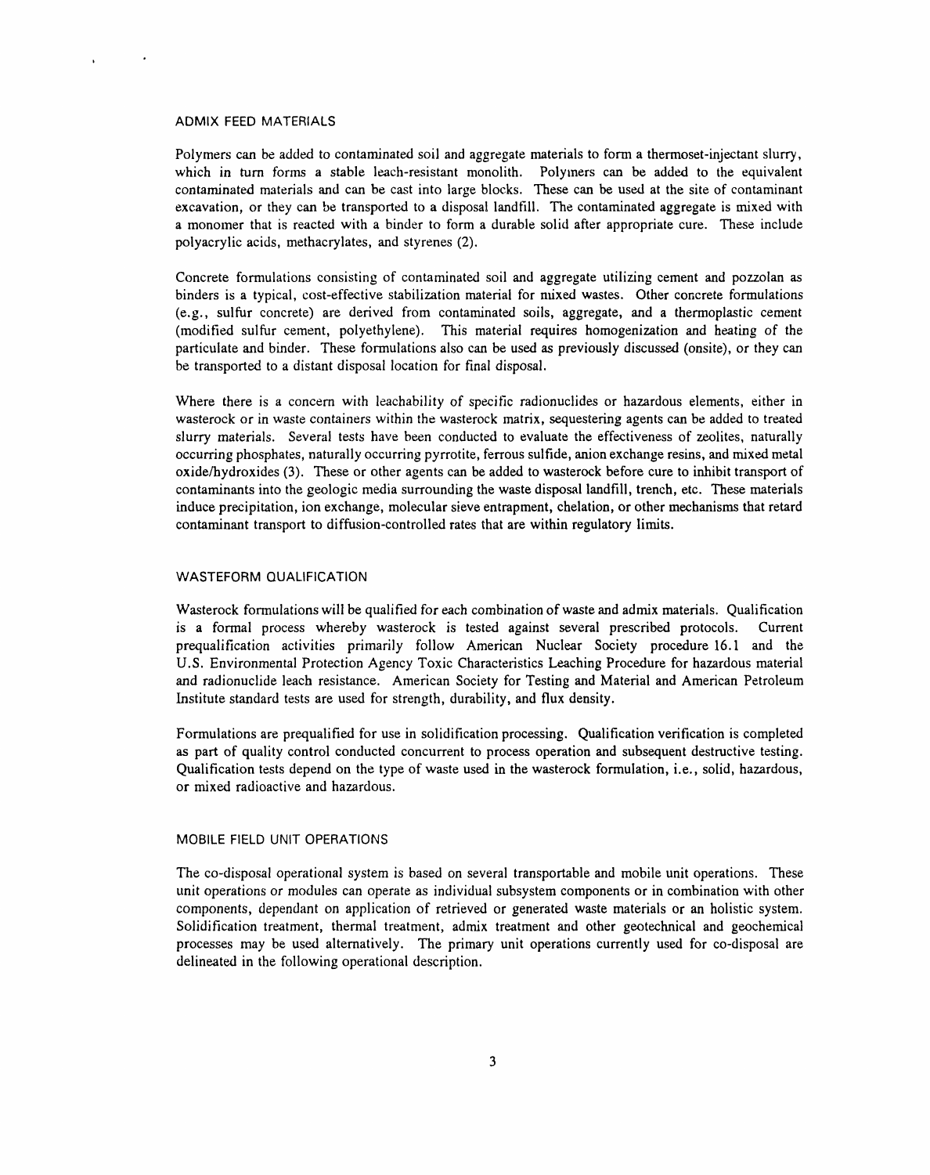#### ADMIX FEED MATERIALS

Polymers can be added to contaminated soil and aggregate materials to form a thermoset-injectant slurry, which in turn forms a stable leach-resistant monolith. Polymers can be added to the equivalent contaminated materials and can be cast into large blocks. These can be used at the site of contaminant excavation, or they can be transported to a disposal landfill. The contaminated aggregate is mixed with a monomer that is reacted with a binder to form a durable solid after appropriate cure. These include polyacrylic acids, methacrylates, and styrenes (2).

Concrete formulations consisting of contaminated soil and aggregate utilizing cement and pozzolan as binders is a typical, cost-effective stabilization material for nuxed wastes. Other concrete formulations (e.g., sulfur concrete) are derived from contaminated soils, aggregate, and a thermoplastic cement (modified sulfur cement, polyethylene). This material requires homogenization and heating of the particulate and binder. These formulations also can be used as previously discussed (onsite), or they can be transported to a distant disposal location for final disposal.

Where there is a concern with leachability of specific radionuclides or hazardous elements, either in wasterock or in waste containers within the wasterock matrix, sequestering agents can be added to treated slurry materials. Several tests have been conducted to evaluate the effectiveness of zeolites, naturally occurring phosphates, naturally occurring pyrrotite, ferrous sulfide, anion exchange resins, and mixed metal oxide*/*hydroxides (3). These or other agents can be added to wasterock before cure to inhibit transport of contaminants into the geologic media surrounding the waste disposal landfill, trench, etc. These materials induce precipitation, ion exchange, molecular sieve entrapment, chelation, or other mechanisms that retard contaminant transport to diffusion-controlled rates that are within regulatory limits.

#### WASTEFORM QUALIFICATION

Wasterock formulations will be qualified for each combination of waste and admix materials. Qualification is a formal process whereby wasterock is tested against several prescribed protocols. Current prequalification activities primarily follow American Nuclear Society procedure 16.1 and the U.S. Environmental Protection *A*gency Toxic Characteristics Leaching Procedure for hazardous material and radionuclide leach resistance. American Society for Testing and Material and American Petroleum Institute standard tests are used for strength, durability, and flux density.

Formulations are prequalified for use in solidification processing. Qualification verification is completed as part of quality control conducted concurrent to process operation and subsequent destructive testing. Qualification tests depend on the type of waste used in the wasterock formulation, i.e., solid, hazardous, or mixed radioactive and hazardous.

#### MOBILE FIELD UNIT OPERATIONS

The co-disposal operational system is based on several transportable and mobile unit operations. These unit operations or modules can operate as individual subsystem components or in combination with other components, dependant on application of retrieved or generated waste materials or an holistic system. Solidification treatment, thermal treatment, admix treatment and other geotechnical and geochemical processes may be used alternatively. The primary unit operations currently used for co-disposal are delineated in the following operational description.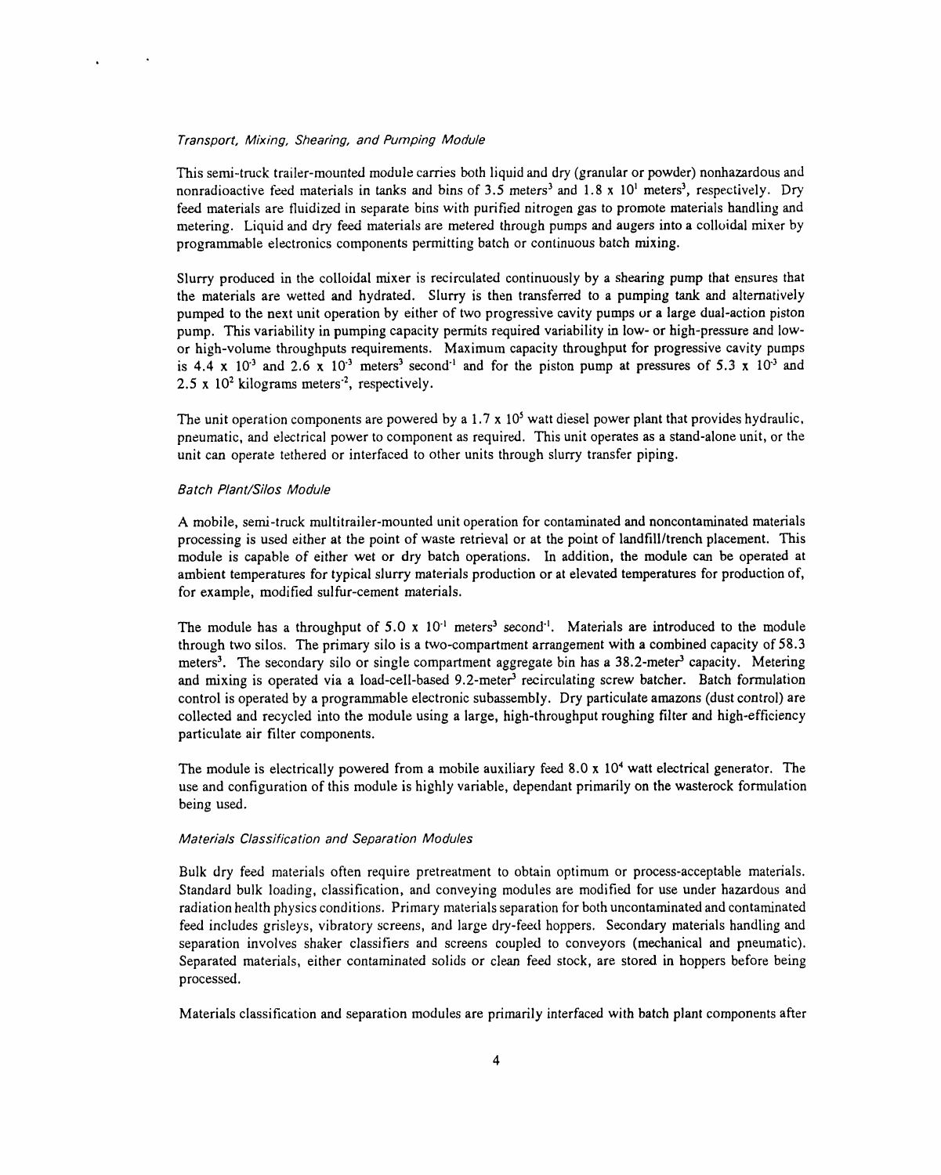#### Transport, Mixing, Shearing, and Pumping Module

This semi-truck trailer-mounted module carries both liquid and dry (granular or powder) nonhazardous and nonradioactive feed materials in tanks and bins of 3.5 meters<sup>3</sup> and 1.8 x 10<sup>1</sup> meters<sup>3</sup>, respectively. Dry feed materials are fluidized in separ**a**te bins with pu**ri**fied nitro*g*en gas to promote mate**ri**als handling and metering. Liquid and dry feed mate**ri**als are metered through pumps and augers into a colloidal mixer b*y* prog*r*ammable electronics components permitting batch or continuous batch mixing.

Slurry produced in the colloidal mixer is recirculated continuously by a shea**fi**ng pump that ensures that the materials are wetted and hydrated. Slurry is then transferred to a pump**i**ng tank and alternatively pumped to the next unit operation by either of two progressive cavity pumps or a large dual-action piston pump. This variability in pumping capacity permits required variability in low- or high-pressure and lowor high-volume throughputs requirements. Maximum capacity throughput for progressive cavity pumps is 4.4 x 10<sup>-3</sup> and 2.6 x 10<sup>-3</sup> meters<sup>3</sup> second<sup>-1</sup> and for the piston pump at pressures of 5.3 x 10<sup>-3</sup> and 2.5 x  $10^2$  kilograms meters<sup>-2</sup>, respectively.

The unit operation components are powered by a  $1.7 \times 10^5$  watt diesel power plant that provides hydraulic, pneumatic, and electrical power to component as required. This unit operates as a stand-alone unit, or the unit can operate tethered or interfaced to other units through slurry transfer piping.

#### *Batch Plant/Silos Module*

A mobile, semi-truck multitrailer-mounted unit operation for contaminated and noncontaminated materials processing is used either at the point of waste retrieval or at the point of landfill*/*trench placement. This module is capable of either wet or dry batch operations. In addition, the module can be operated at ambient temperatures for typical slurry materials production or at elevated temperatures for production of, for example, modified sulfur-cement materials.

The module has a throughput of 5.0 x 10<sup>-1</sup> meters<sup>3</sup> second<sup>-1</sup>. Materials are introduced to the module through two silos. The primary silo is a two-compartment arrangement with a combined capacity of 58.3 meters<sup>3</sup>. The secondary silo or single compartment aggregate bin has a 38.2-meter<sup>3</sup> capacity. Metering and mixing is operated via a load-cell-based 9.2-meter<sup>3</sup> recirculating screw batcher. Batch formulation control is operated by a programmable electronic subassembl*y*. Dry particulate amazons (dust c*o*ntrol) are collected and recycled into the module using a large, high-throughput roughing filter and high-efficiency particulate air filter components.

The module is electrically powered from a mobile auxiliary feed  $8.0 \times 10^4$  watt electrical generator. The use and configuration of this module is highly variable, dependant primarily on the wasterock formulation being used.

#### Materials Classification and Separation Modules

Bulk dry feed materials often require pretreatment to obtain optimum or process-acceptable materials. Standard bulk loading, classification, and conveying modules are modified for use under hazardous and radiation health physics conditions. Primar*y* materials separation for both uncontaminated and contaminated feed includes grisleys, vibratory screens, and lar*g*e dry-feexl hoppers. Secondary materials handling and separation involves shaker classifiers and screens coupled to conve*y*ors (mechanical and pneumatic). Separated materials, either contaminated solids or clean feed stock, are stored in hoppers before being processed.

Materials classification and separation modules are primarily interfaced with batch plant components after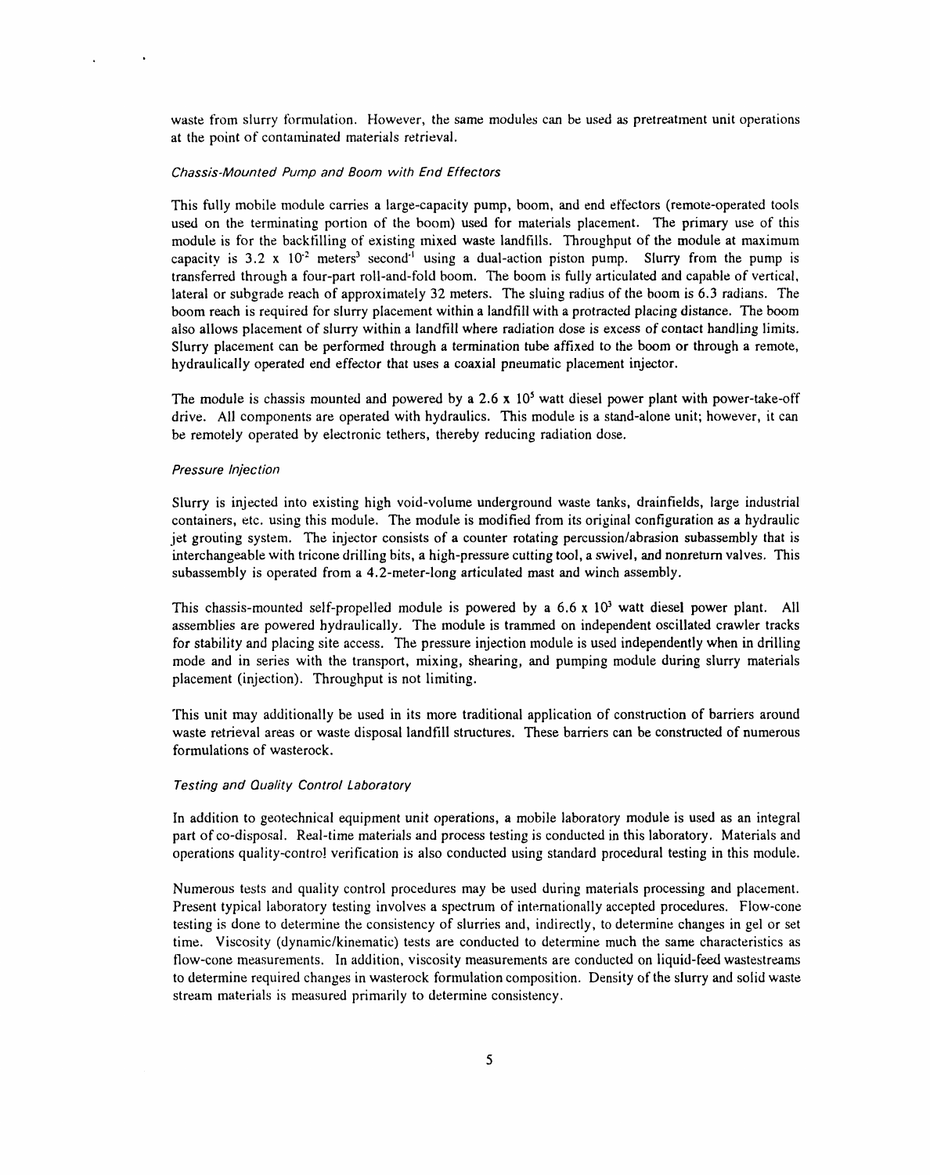waste from slurry formulation. However, the same modules can be used as pretreatment unit operations at the point of contaminated materials retrieval.

#### Chassis-Mounted Pump and Boom with End Effectors

This fully mobile module carries a large-capacity pump, boom, and end effectors (remote-operated tools used on the terminating portion of the boom) used for materials placement. The primary use of this module is for the backfilling of existing mixed waste landfills. Throughput of the module at maximum capacity is 3.2 x  $10^{-2}$  meters<sup>3</sup> second<sup>-1</sup> using a dual-action piston pump. Slurry from the pump is transferred through a four-part roll-and-fold boom. The boom is fully articulated and capable of vertical, lateral or subgrade reach of approximately 32 meters. The sluing radius of the boom is 6.3 radians. The boom reach is required for slurry placement within a landfill with a protracted placing distance. The boom also allows placement of slurry within a landfill where radiation dose is excess of contact handlin*g* limits. Slurry placement can be performed through a termination tube affixed to the boom or through a remote, hydraulically operated end effector that uses a coaxial pneumatic placement injector.

The module is chassis mounted and powered by a 2.6 x  $10<sup>5</sup>$  watt diesel power plant with power-take-off drive. All components are operated with hydraulics. This module is a stand-alone unit; however, it can be remotely operated by electronic tethers, thereby reducing radiation dose.

#### Pressure Injection

Slurry is injected into existing high void-volume underground waste tanks, drainfields, large industrial containers, etc. using this module. The module is modified from its original configuration as a hydraulic jet grouting system. The injector consists of a counter rotating percussion/abrasion subassembly that is interchangeable with tricone drilling bits, a high-pressure cutting tool, a swivel, and nonreturn valves. This subassembly is operated from a 4.2-meter-long ar*t*iculated mast and winch assembly.

This chassis-mounted self-propelled module is powered by a  $6.6 \times 10<sup>3</sup>$  watt diesel power plant. All assemblies are powered hydraulically. The module is trammed on independent oscillated crawler tracks for stability and placing site access. The pressure injection module is used independently when in drilling mode and in series with the transport, mixing, shearing, and pumping module during slurry materials placement (injection). Throughput is not limiting.

This unit may additionally be used in its more traditional application of construction of barriers around waste retrieval areas or waste disposal landfill structures. These barriers can be constructed of numerous formulation**s** of wasterock.

#### Testing and Quality Control Laboratory

In addition to geotechnical equipment unit operations, a mobile laboratory module is used as an integral part of co-disposal. Real-time materials and process testing is conducted in this laboratory. Materials and operations quality-centro! verification is also conducted using standard procedural testing in this module.

Numerous tests and quality control procedures may be used during materials processing and placement. Present typical laboratory testing involves a spectrum of internationally accepted procedures. Flow-cone testing is done to determine the consistency of slurries and, indirectly, to determine changes in gel or set time. Viscosity (dynamic*/*kinematic) tests are conducted to determine much the same characteristics as flow-cone measurements. In addition, viscosity measurements are conducted on liquid-feed wastestreams to determine required changes in wasterock formulation composition. Density of the slurry and solid waste stream materials is measured primarily to determine consistency.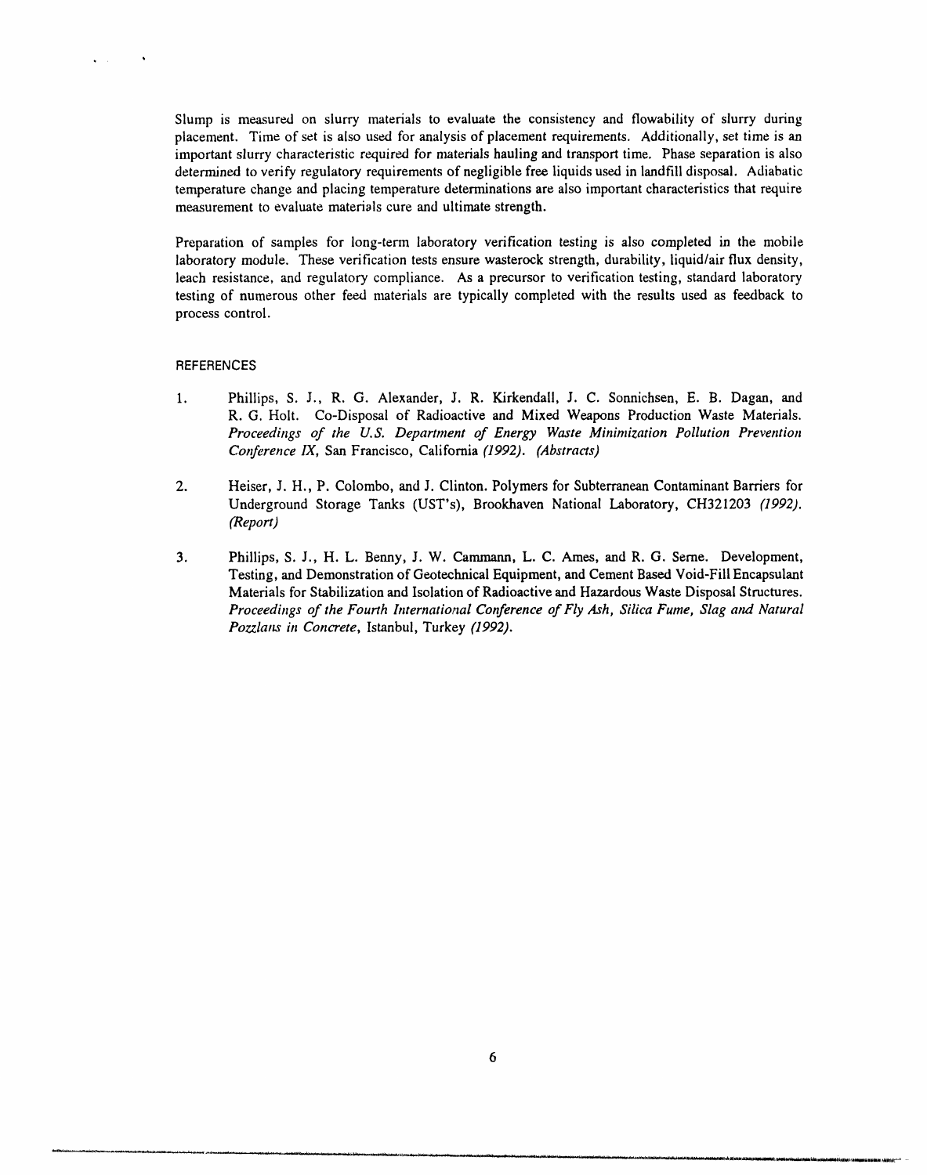Slu**m**p is measured on slurry materials **t**o ev**a**luate the consistency **a**nd **fl**ow**a**b**i**l**i**ty of slurry du**ri**ng placement. Time of set is also used for analysis of placement requirements. Additionally, set time is an important slurry characteristic required for materials hauling and transport time. Phase separation is also determined to verify re*g*ulatory requirements of negligible free liquids used in landfill disposal. Adiabatic temperature change and placing temperature determinations are also important characteristics that require measurement to evaluate materials cure and ultimate strength.

Preparation of samples for long-term laboratory verification testing is also completed in the mobile laboratory module. These verification tests ensure wasterock strength, durability, liquid*/*air flux density, leach resistance, and regulatory compliance. As a precursor to verification testing, standard laboratory testing of numerous other feed materials are typically completed with the results used as feedback to process control.

#### **REFERENCES**

- 1. Phillips, S. J., R. G. Alexander, J. R. Kirkendall, J. C. Sonnichsen, E. B. Dagan, and R. G. Holt. Co-Disposal of Radioactive and Mixed Weapons Production Waste Materials. *Proceedi*n*gs of the U*.*S*. *Depart*m*ent of Energy Waste Mi*n*i*m*ization Pollution Preventio*n *Conference IX*, San Francisco, California *(1992)*. *(Abstracts)*
- 2. Heiser, J. H., P. Colombo, and J. Clinton. Polymers for Subterranean Contaminant Barriers for Underground Storage Tanks (UST's), Brookhaven National Laboratory, CH321203 *(1992)*. *(Report)*
- 3. Phillips, S. J., H. L. Benny, J. W. Cammann, L. C. Ames, and R. G. Some. Development, Testing, and Demonstration of Geotechnical Equipment, and Cement Based Void-Fill Encapsulant Materials for Stabilization and Isolation of Radioactive and Hazardous Waste Disposal Structures. *Proceedings of the Fourth International Conference of Fly Ash, Silica Fume, Slag a*t*m Natural Pozzlans in Concrete*, Istanbul, Turkey *(1992)*.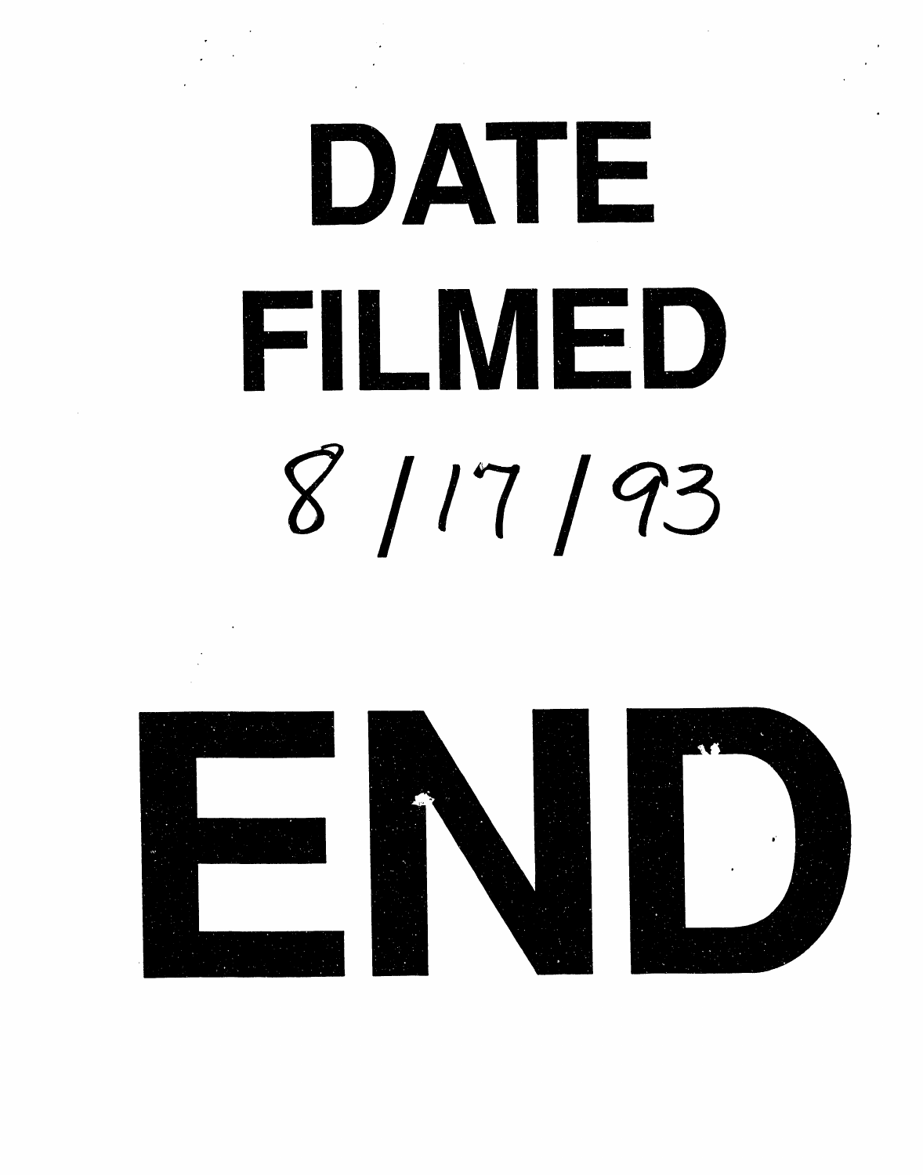# DATE FILMED */*7